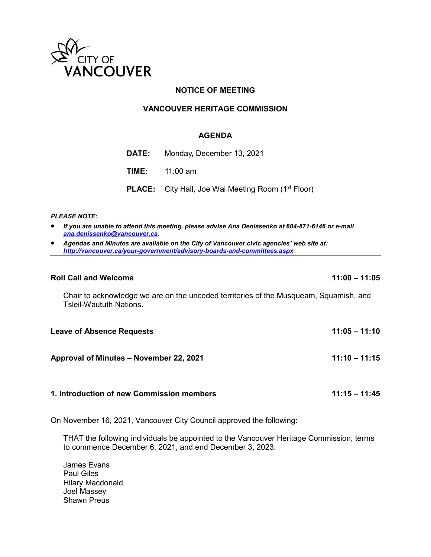

# **NOTICE OF MEETING**

# **VANCOUVER HERITAGE COMMISSION**

## **AGENDA**

| <b>DATE:</b> Monday, December 13, 2021                                |
|-----------------------------------------------------------------------|
| <b>TIME:</b> 11:00 am                                                 |
| <b>PLACE:</b> City Hall, Joe Wai Meeting Room (1 <sup>st</sup> Floor) |

## *PLEASE NOTE:*

- *If you are unable to attend this meeting, please advise Ana Denissenko at 604-871-6146 or e-mail [ana.denissenko@vancouver.ca.](mailto:ana.denissenko@vancouver.ca)*
- *Agendas and Minutes are available on the City of Vancouver civic agencies' web site at: <http://vancouver.ca/your-government/advisory-boards-and-committees.aspx>*

#### **Roll Call and Welcome 11:00 – 11:05**

Chair to acknowledge we are on the unceded territories of the Musqueam, Squamish, and Tsleil-Waututh Nations.

| <b>Leave of Absence Requests</b>          | $11:05 - 11:10$ |
|-------------------------------------------|-----------------|
| Approval of Minutes – November 22, 2021   | $11:10 - 11:15$ |
| 1. Introduction of new Commission members | $11:15 - 11:45$ |

On November 16, 2021, Vancouver City Council approved the following:

THAT the following individuals be appointed to the Vancouver Heritage Commission, terms to commence December 6, 2021, and end December 3, 2023:

James Evans Paul Giles Hilary Macdonald Joel Massey Shawn Preus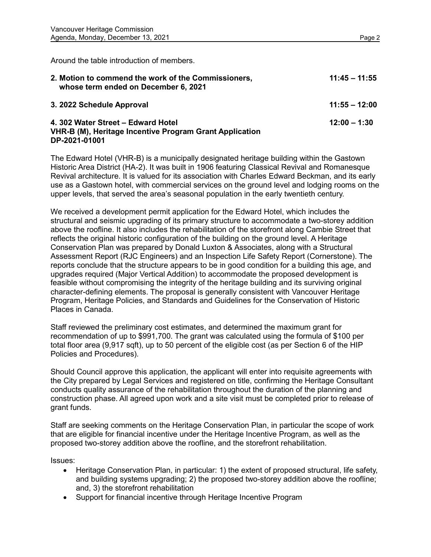Around the table introduction of members.

| 2. Motion to commend the work of the Commissioners,<br>whose term ended on December 6, 2021                    | $11:45 - 11:55$ |
|----------------------------------------------------------------------------------------------------------------|-----------------|
| 3. 2022 Schedule Approval                                                                                      | $11:55 - 12:00$ |
| 4. 302 Water Street – Edward Hotel<br>VHR-B (M), Heritage Incentive Program Grant Application<br>DP-2021-01001 | $12:00 - 1:30$  |

The Edward Hotel (VHR-B) is a municipally designated heritage building within the Gastown Historic Area District (HA-2). It was built in 1906 featuring Classical Revival and Romanesque Revival architecture. It is valued for its association with Charles Edward Beckman, and its early use as a Gastown hotel, with commercial services on the ground level and lodging rooms on the upper levels, that served the area's seasonal population in the early twentieth century.

We received a development permit application for the Edward Hotel, which includes the structural and seismic upgrading of its primary structure to accommodate a two-storey addition above the roofline. It also includes the rehabilitation of the storefront along Cambie Street that reflects the original historic configuration of the building on the ground level. A Heritage Conservation Plan was prepared by Donald Luxton & Associates, along with a Structural Assessment Report (RJC Engineers) and an Inspection Life Safety Report (Cornerstone). The reports conclude that the structure appears to be in good condition for a building this age, and upgrades required (Major Vertical Addition) to accommodate the proposed development is feasible without compromising the integrity of the heritage building and its surviving original character-defining elements. The proposal is generally consistent with Vancouver Heritage Program, Heritage Policies, and Standards and Guidelines for the Conservation of Historic Places in Canada.

Staff reviewed the preliminary cost estimates, and determined the maximum grant for recommendation of up to \$991,700. The grant was calculated using the formula of \$100 per total floor area (9,917 sqft), up to 50 percent of the eligible cost (as per Section 6 of the HIP Policies and Procedures).

Should Council approve this application, the applicant will enter into requisite agreements with the City prepared by Legal Services and registered on title, confirming the Heritage Consultant conducts quality assurance of the rehabilitation throughout the duration of the planning and construction phase. All agreed upon work and a site visit must be completed prior to release of grant funds.

Staff are seeking comments on the Heritage Conservation Plan, in particular the scope of work that are eligible for financial incentive under the Heritage Incentive Program, as well as the proposed two-storey addition above the roofline, and the storefront rehabilitation.

Issues:

- Heritage Conservation Plan, in particular: 1) the extent of proposed structural, life safety, and building systems upgrading; 2) the proposed two-storey addition above the roofline; and, 3) the storefront rehabilitation
- Support for financial incentive through Heritage Incentive Program